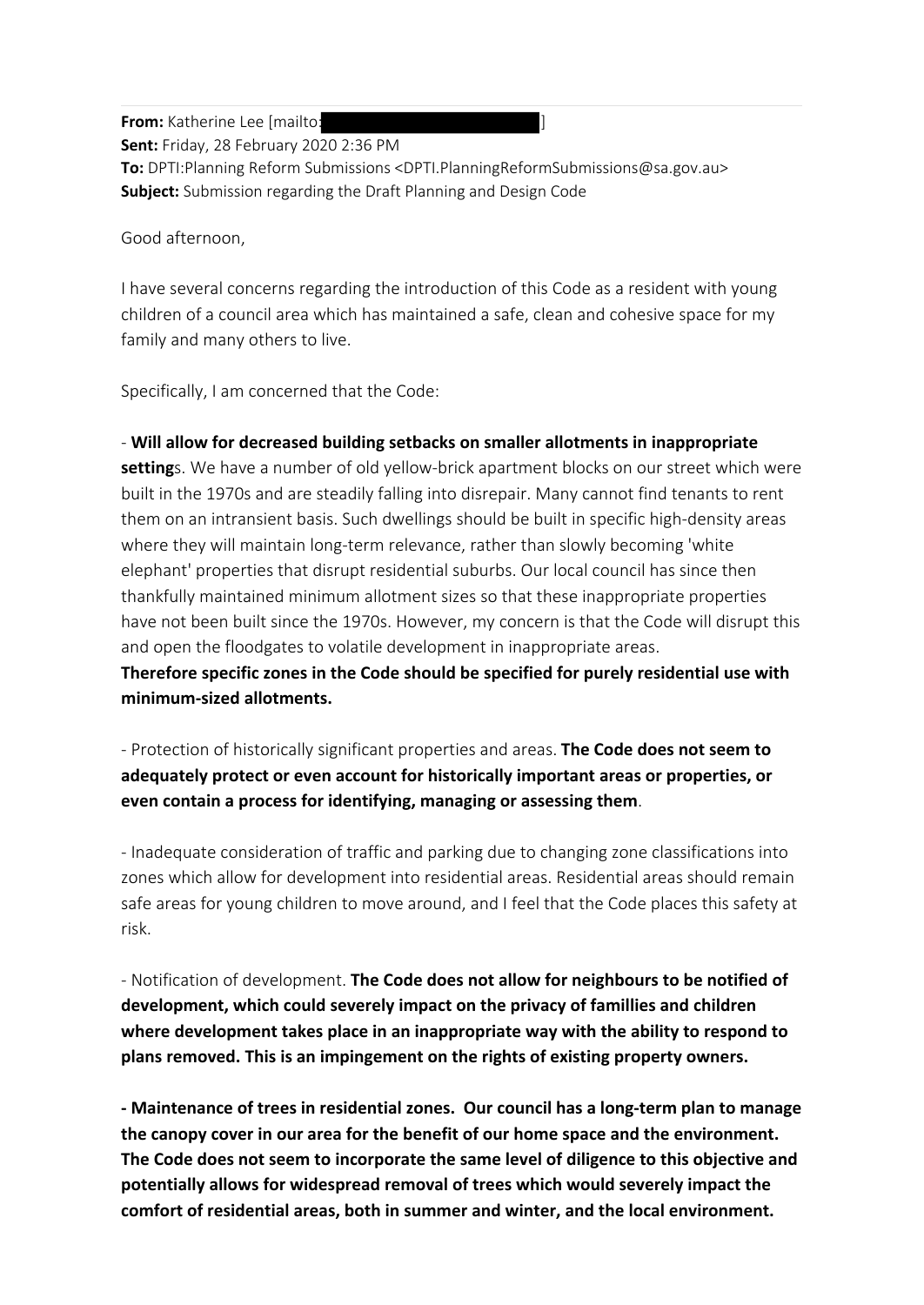**From:** Katherine Lee [mailto: **We call a set of the CO** ] **Sent:** Friday, 28 February 2020 2:36 PM **To:** DPTI:Planning Reform Submissions <DPTI.PlanningReformSubmissions@sa.gov.au> **Subject:** Submission regarding the Draft Planning and Design Code

Good afternoon,

I have several concerns regarding the introduction of this Code as a resident with young children of a council area which has maintained a safe, clean and cohesive space for my family and many others to live.

Specifically, I am concerned that the Code:

## - **Will allow for decreased building setbacks on smaller allotments in inappropriate**

**setting**s. We have a number of old yellow-brick apartment blocks on our street which were built in the 1970s and are steadily falling into disrepair. Many cannot find tenants to rent them on an intransient basis. Such dwellings should be built in specific high-density areas where they will maintain long-term relevance, rather than slowly becoming 'white elephant' properties that disrupt residential suburbs. Our local council has since then thankfully maintained minimum allotment sizes so that these inappropriate properties have not been built since the 1970s. However, my concern is that the Code will disrupt this and open the floodgates to volatile development in inappropriate areas.

**Therefore specific zones in the Code should be specified for purely residential use with minimum-sized allotments.**

- Protection of historically significant properties and areas. **The Code does not seem to adequately protect or even account for historically important areas or properties, or even contain a process for identifying, managing or assessing them**.

- Inadequate consideration of traffic and parking due to changing zone classifications into zones which allow for development into residential areas. Residential areas should remain safe areas for young children to move around, and I feel that the Code places this safety at risk.

- Notification of development. **The Code does not allow for neighbours to be notified of development, which could severely impact on the privacy of famillies and children where development takes place in an inappropriate way with the ability to respond to plans removed. This is an impingement on the rights of existing property owners.**

**- Maintenance of trees in residential zones. Our council has a long-term plan to manage the canopy cover in our area for the benefit of our home space and the environment. The Code does not seem to incorporate the same level of diligence to this objective and potentially allows for widespread removal of trees which would severely impact the comfort of residential areas, both in summer and winter, and the local environment.**